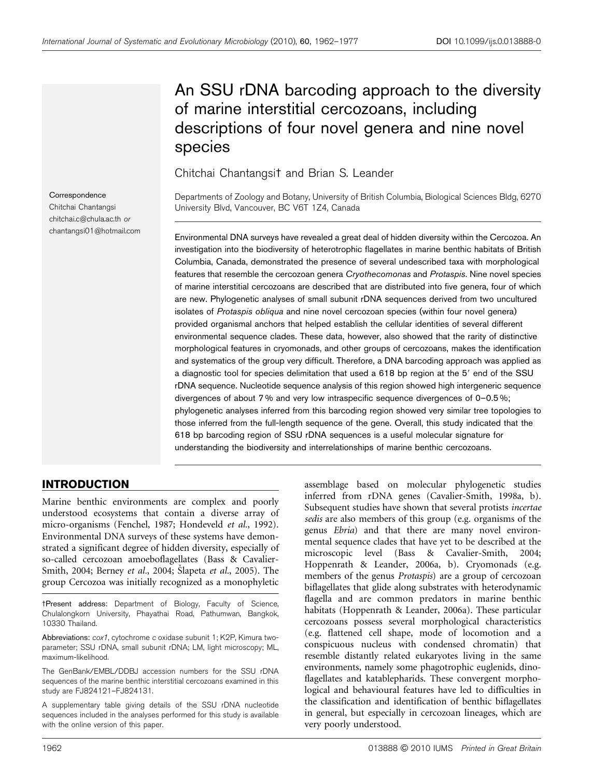# An SSU rDNA barcoding approach to the diversity of marine interstitial cercozoans, including descriptions of four novel genera and nine novel species

# Chitchai Chantangsit and Brian S. Leander

Departments of Zoology and Botany, University of British Columbia, Biological Sciences Bldg, 6270 University Blvd, Vancouver, BC V6T 1Z4, Canada

Environmental DNA surveys have revealed a great deal of hidden diversity within the Cercozoa. An investigation into the biodiversity of heterotrophic flagellates in marine benthic habitats of British Columbia, Canada, demonstrated the presence of several undescribed taxa with morphological features that resemble the cercozoan genera Cryothecomonas and Protaspis. Nine novel species of marine interstitial cercozoans are described that are distributed into five genera, four of which are new. Phylogenetic analyses of small subunit rDNA sequences derived from two uncultured isolates of Protaspis obliqua and nine novel cercozoan species (within four novel genera) provided organismal anchors that helped establish the cellular identities of several different environmental sequence clades. These data, however, also showed that the rarity of distinctive morphological features in cryomonads, and other groups of cercozoans, makes the identification and systematics of the group very difficult. Therefore, a DNA barcoding approach was applied as a diagnostic tool for species delimitation that used a 618 bp region at the 5' end of the SSU rDNA sequence. Nucleotide sequence analysis of this region showed high intergeneric sequence divergences of about 7 % and very low intraspecific sequence divergences of 0–0.5 %; phylogenetic analyses inferred from this barcoding region showed very similar tree topologies to those inferred from the full-length sequence of the gene. Overall, this study indicated that the 618 bp barcoding region of SSU rDNA sequences is a useful molecular signature for understanding the biodiversity and interrelationships of marine benthic cercozoans.

# INTRODUCTION

Marine benthic environments are complex and poorly understood ecosystems that contain a diverse array of micro-organisms (Fenchel, 1987; Hondeveld et al., 1992). Environmental DNA surveys of these systems have demonstrated a significant degree of hidden diversity, especially of so-called cercozoan amoeboflagellates (Bass & Cavalier-Smith, 2004; Berney et al., 2004; Slapeta et al., 2005). The group Cercozoa was initially recognized as a monophyletic

tPresent address: Department of Biology, Faculty of Science, Chulalongkorn University, Phayathai Road, Pathumwan, Bangkok, 10330 Thailand.

Abbreviations: cox1, cytochrome c oxidase subunit 1; K2P, Kimura twoparameter; SSU rDNA, small subunit rDNA; LM, light microscopy; ML, maximum-likelihood.

The GenBank/EMBL/DDBJ accession numbers for the SSU rDNA sequences of the marine benthic interstitial cercozoans examined in this study are FJ824121–FJ824131.

A supplementary table giving details of the SSU rDNA nucleotide sequences included in the analyses performed for this study is available with the online version of this paper.

assemblage based on molecular phylogenetic studies inferred from rDNA genes (Cavalier-Smith, 1998a, b). Subsequent studies have shown that several protists incertae sedis are also members of this group (e.g. organisms of the genus Ebria) and that there are many novel environmental sequence clades that have yet to be described at the microscopic level (Bass & Cavalier-Smith, 2004; Hoppenrath & Leander, 2006a, b). Cryomonads (e.g. members of the genus Protaspis) are a group of cercozoan biflagellates that glide along substrates with heterodynamic flagella and are common predators in marine benthic habitats (Hoppenrath & Leander, 2006a). These particular cercozoans possess several morphological characteristics (e.g. flattened cell shape, mode of locomotion and a conspicuous nucleus with condensed chromatin) that resemble distantly related eukaryotes living in the same environments, namely some phagotrophic euglenids, dinoflagellates and katablepharids. These convergent morphological and behavioural features have led to difficulties in the classification and identification of benthic biflagellates in general, but especially in cercozoan lineages, which are very poorly understood.

#### **Correspondence**

Chitchai Chantangsi chitchai.c@chula.ac.th or chantangsi01@hotmail.com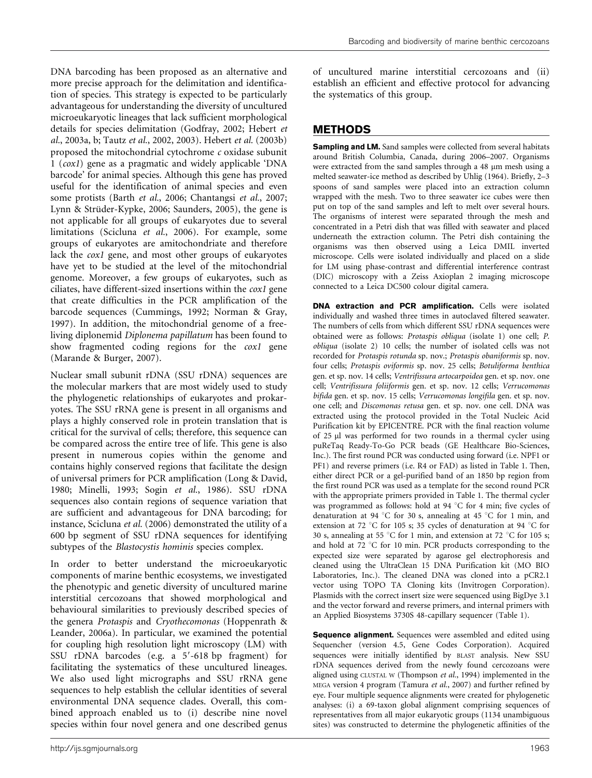DNA barcoding has been proposed as an alternative and more precise approach for the delimitation and identification of species. This strategy is expected to be particularly advantageous for understanding the diversity of uncultured microeukaryotic lineages that lack sufficient morphological details for species delimitation (Godfray, 2002; Hebert et al., 2003a, b; Tautz et al., 2002, 2003). Hebert et al. (2003b) proposed the mitochondrial cytochrome c oxidase subunit 1 (cox1) gene as a pragmatic and widely applicable 'DNA barcode' for animal species. Although this gene has proved useful for the identification of animal species and even some protists (Barth et al., 2006; Chantangsi et al., 2007; Lynn & Strüder-Kypke, 2006; Saunders, 2005), the gene is not applicable for all groups of eukaryotes due to several limitations (Scicluna et al., 2006). For example, some groups of eukaryotes are amitochondriate and therefore lack the cox1 gene, and most other groups of eukaryotes have yet to be studied at the level of the mitochondrial genome. Moreover, a few groups of eukaryotes, such as ciliates, have different-sized insertions within the cox1 gene that create difficulties in the PCR amplification of the barcode sequences (Cummings, 1992; Norman & Gray, 1997). In addition, the mitochondrial genome of a freeliving diplonemid Diplonema papillatum has been found to show fragmented coding regions for the cox1 gene (Marande & Burger, 2007).

Nuclear small subunit rDNA (SSU rDNA) sequences are the molecular markers that are most widely used to study the phylogenetic relationships of eukaryotes and prokaryotes. The SSU rRNA gene is present in all organisms and plays a highly conserved role in protein translation that is critical for the survival of cells; therefore, this sequence can be compared across the entire tree of life. This gene is also present in numerous copies within the genome and contains highly conserved regions that facilitate the design of universal primers for PCR amplification (Long & David, 1980; Minelli, 1993; Sogin et al., 1986). SSU rDNA sequences also contain regions of sequence variation that are sufficient and advantageous for DNA barcoding; for instance, Scicluna et al. (2006) demonstrated the utility of a 600 bp segment of SSU rDNA sequences for identifying subtypes of the *Blastocystis hominis* species complex.

In order to better understand the microeukaryotic components of marine benthic ecosystems, we investigated the phenotypic and genetic diversity of uncultured marine interstitial cercozoans that showed morphological and behavioural similarities to previously described species of the genera Protaspis and Cryothecomonas (Hoppenrath & Leander, 2006a). In particular, we examined the potential for coupling high resolution light microscopy (LM) with SSU rDNA barcodes (e.g. a  $5'$ -618 bp fragment) for facilitating the systematics of these uncultured lineages. We also used light micrographs and SSU rRNA gene sequences to help establish the cellular identities of several environmental DNA sequence clades. Overall, this combined approach enabled us to (i) describe nine novel species within four novel genera and one described genus

of uncultured marine interstitial cercozoans and (ii) establish an efficient and effective protocol for advancing the systematics of this group.

# METHODS

**Sampling and LM.** Sand samples were collected from several habitats around British Columbia, Canada, during 2006–2007. Organisms were extracted from the sand samples through a 48 µm mesh using a melted seawater-ice method as described by Uhlig (1964). Briefly, 2–3 spoons of sand samples were placed into an extraction column wrapped with the mesh. Two to three seawater ice cubes were then put on top of the sand samples and left to melt over several hours. The organisms of interest were separated through the mesh and concentrated in a Petri dish that was filled with seawater and placed underneath the extraction column. The Petri dish containing the organisms was then observed using a Leica DMIL inverted microscope. Cells were isolated individually and placed on a slide for LM using phase-contrast and differential interference contrast (DIC) microscopy with a Zeiss Axioplan 2 imaging microscope connected to a Leica DC500 colour digital camera.

DNA extraction and PCR amplification. Cells were isolated individually and washed three times in autoclaved filtered seawater. The numbers of cells from which different SSU rDNA sequences were obtained were as follows: Protaspis obliqua (isolate 1) one cell; P. obliqua (isolate 2) 10 cells; the number of isolated cells was not recorded for Protaspis rotunda sp. nov.; Protaspis obaniformis sp. nov. four cells; Protaspis oviformis sp. nov. 25 cells; Botuliforma benthica gen. et sp. nov. 14 cells; Ventrifissura artocarpoidea gen. et sp. nov. one cell; Ventrifissura foliiformis gen. et sp. nov. 12 cells; Verrucomonas bifida gen. et sp. nov. 15 cells; Verrucomonas longifila gen. et sp. nov. one cell; and Discomonas retusa gen. et sp. nov. one cell. DNA was extracted using the protocol provided in the Total Nucleic Acid Purification kit by EPICENTRE. PCR with the final reaction volume of 25 ml was performed for two rounds in a thermal cycler using puReTaq Ready-To-Go PCR beads (GE Healthcare Bio-Sciences, Inc.). The first round PCR was conducted using forward (i.e. NPF1 or PF1) and reverse primers (i.e. R4 or FAD) as listed in Table 1. Then, either direct PCR or a gel-purified band of an 1850 bp region from the first round PCR was used as a template for the second round PCR with the appropriate primers provided in Table 1. The thermal cycler was programmed as follows: hold at 94  $\degree$ C for 4 min; five cycles of denaturation at 94 °C for 30 s, annealing at 45 °C for 1 min, and extension at 72 °C for 105 s; 35 cycles of denaturation at 94 °C for 30 s, annealing at 55 °C for 1 min, and extension at 72 °C for 105 s; and hold at 72  $\degree$ C for 10 min. PCR products corresponding to the expected size were separated by agarose gel electrophoresis and cleaned using the UltraClean 15 DNA Purification kit (MO BIO Laboratories, Inc.). The cleaned DNA was cloned into a pCR2.1 vector using TOPO TA Cloning kits (Invitrogen Corporation). Plasmids with the correct insert size were sequenced using BigDye 3.1 and the vector forward and reverse primers, and internal primers with an Applied Biosystems 3730S 48-capillary sequencer (Table 1).

**Sequence alignment.** Sequences were assembled and edited using Sequencher (version 4.5, Gene Codes Corporation). Acquired sequences were initially identified by BLAST analysis. New SSU rDNA sequences derived from the newly found cercozoans were aligned using CLUSTAL W (Thompson et al., 1994) implemented in the MEGA version 4 program (Tamura et al., 2007) and further refined by eye. Four multiple sequence alignments were created for phylogenetic analyses: (i) a 69-taxon global alignment comprising sequences of representatives from all major eukaryotic groups (1134 unambiguous sites) was constructed to determine the phylogenetic affinities of the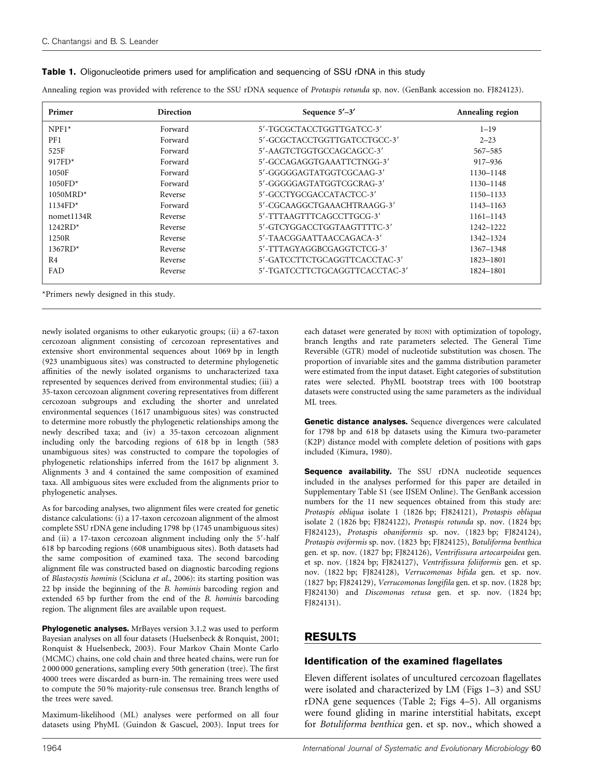#### Table 1. Oligonucleotide primers used for amplification and sequencing of SSU rDNA in this study

Annealing region was provided with reference to the SSU rDNA sequence of Protaspis rotunda sp. nov. (GenBank accession no. FJ824123).

| Primer         | <b>Direction</b> | Sequence 5'-3'                 | Annealing region |  |  |
|----------------|------------------|--------------------------------|------------------|--|--|
| $NPF1*$        | Forward          | 5'-TGCGCTACCTGGTTGATCC-3'      | $1 - 19$         |  |  |
| PF1            | Forward          | 5'-GCGCTACCTGGTTGATCCTGCC-3'   | $2 - 23$         |  |  |
| 525F           | Forward          | 5'-AAGTCTGGTGCCAGCAGCC-3'      | 567-585          |  |  |
| $917FD*$       | Forward          | 5'-GCCAGAGGTGAAATTCTNGG-3'     | 917-936          |  |  |
| 1050F          | Forward          | 5'-GGGGGAGTATGGTCGCAAG-3'      | 1130-1148        |  |  |
| $1050FD*$      | Forward          | 5'-GGGGGAGTATGGTCGCRAG-3'      | 1130-1148        |  |  |
| $1050MRD*$     | Reverse          | 5'-GCCTYGCGACCATACTCC-3'       | 1150-1133        |  |  |
| $1134FD*$      | Forward          | 5'-CGCAAGGCTGAAACHTRAAGG-3'    | 1143-1163        |  |  |
| nomet1134R     | Reverse          | 5'-TTTAAGTTTCAGCCTTGCG-3'      | $1161 - 1143$    |  |  |
| $1242RD*$      | Reverse          | 5'-GTCYGGACCTGGTAAGTTTTC-3'    | 1242-1222        |  |  |
| 1250R          | Reverse          | 5'-TAACGGAATTAACCAGACA-3'      | 1342-1324        |  |  |
| $1367RD*$      | Reverse          | 5'-TTTAGYAGGBCGAGGTCTCG-3'     | 1367-1348        |  |  |
| R <sub>4</sub> | Reverse          | 5'-GATCCTTCTGCAGGTTCACCTAC-3'  | 1823-1801        |  |  |
| <b>FAD</b>     | Reverse          | 5'-TGATCCTTCTGCAGGTTCACCTAC-3' | 1824-1801        |  |  |

\*Primers newly designed in this study.

newly isolated organisms to other eukaryotic groups; (ii) a 67-taxon cercozoan alignment consisting of cercozoan representatives and extensive short environmental sequences about 1069 bp in length (923 unambiguous sites) was constructed to determine phylogenetic affinities of the newly isolated organisms to uncharacterized taxa represented by sequences derived from environmental studies; (iii) a 35-taxon cercozoan alignment covering representatives from different cercozoan subgroups and excluding the shorter and unrelated environmental sequences (1617 unambiguous sites) was constructed to determine more robustly the phylogenetic relationships among the newly described taxa; and (iv) a 35-taxon cercozoan alignment including only the barcoding regions of 618 bp in length (583 unambiguous sites) was constructed to compare the topologies of phylogenetic relationships inferred from the 1617 bp alignment 3. Alignments 3 and 4 contained the same composition of examined taxa. All ambiguous sites were excluded from the alignments prior to phylogenetic analyses.

As for barcoding analyses, two alignment files were created for genetic distance calculations: (i) a 17-taxon cercozoan alignment of the almost complete SSU rDNA gene including 1798 bp (1745 unambiguous sites) and (ii) a 17-taxon cercozoan alignment including only the 5'-half 618 bp barcoding regions (608 unambiguous sites). Both datasets had the same composition of examined taxa. The second barcoding alignment file was constructed based on diagnostic barcoding regions of Blastocystis hominis (Scicluna et al., 2006): its starting position was 22 bp inside the beginning of the B. hominis barcoding region and extended 65 bp further from the end of the B. hominis barcoding region. The alignment files are available upon request.

Phylogenetic analyses. MrBayes version 3.1.2 was used to perform Bayesian analyses on all four datasets (Huelsenbeck & Ronquist, 2001; Ronquist & Huelsenbeck, 2003). Four Markov Chain Monte Carlo (MCMC) chains, one cold chain and three heated chains, were run for 2 000 000 generations, sampling every 50th generation (tree). The first 4000 trees were discarded as burn-in. The remaining trees were used to compute the 50 % majority-rule consensus tree. Branch lengths of the trees were saved.

Maximum-likelihood (ML) analyses were performed on all four datasets using PhyML (Guindon & Gascuel, 2003). Input trees for each dataset were generated by BIONJ with optimization of topology, branch lengths and rate parameters selected. The General Time Reversible (GTR) model of nucleotide substitution was chosen. The proportion of invariable sites and the gamma distribution parameter were estimated from the input dataset. Eight categories of substitution rates were selected. PhyML bootstrap trees with 100 bootstrap datasets were constructed using the same parameters as the individual ML trees.

Genetic distance analyses. Sequence divergences were calculated for 1798 bp and 618 bp datasets using the Kimura two-parameter (K2P) distance model with complete deletion of positions with gaps included (Kimura, 1980).

Sequence availability. The SSU rDNA nucleotide sequences included in the analyses performed for this paper are detailed in Supplementary Table S1 (see IJSEM Online). The GenBank accession numbers for the 11 new sequences obtained from this study are: Protaspis obliqua isolate 1 (1826 bp; FJ824121), Protaspis obliqua isolate 2 (1826 bp; FJ824122), Protaspis rotunda sp. nov. (1824 bp; FJ824123), Protaspis obaniformis sp. nov. (1823 bp; FJ824124), Protaspis oviformis sp. nov. (1823 bp; FJ824125), Botuliforma benthica gen. et sp. nov. (1827 bp; FJ824126), Ventrifissura artocarpoidea gen. et sp. nov. (1824 bp; FJ824127), Ventrifissura foliiformis gen. et sp. nov. (1822 bp; FJ824128), Verrucomonas bifida gen. et sp. nov. (1827 bp; FJ824129), Verrucomonas longifila gen. et sp. nov. (1828 bp; FJ824130) and Discomonas retusa gen. et sp. nov. (1824 bp; FJ824131).

# RESULTS

#### Identification of the examined flagellates

Eleven different isolates of uncultured cercozoan flagellates were isolated and characterized by LM (Figs 1–3) and SSU rDNA gene sequences (Table 2; Figs 4–5). All organisms were found gliding in marine interstitial habitats, except for Botuliforma benthica gen. et sp. nov., which showed a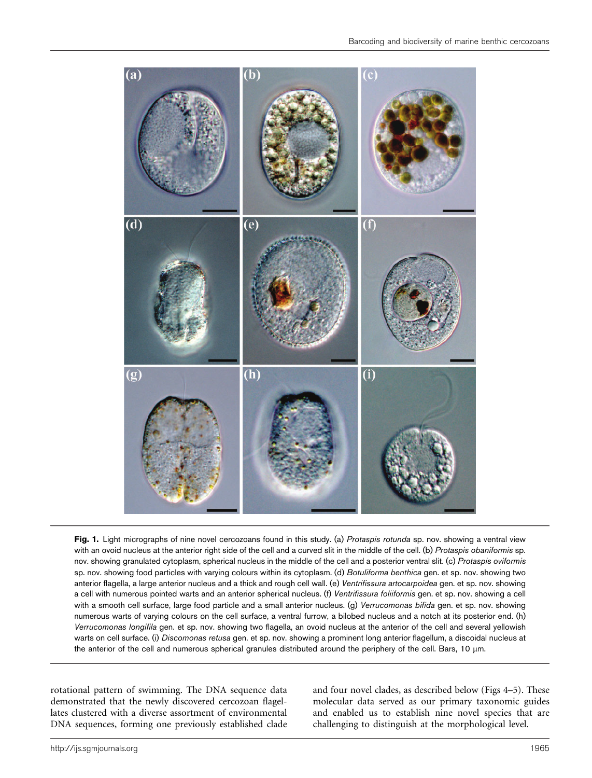

Fig. 1. Light micrographs of nine novel cercozoans found in this study. (a) Protaspis rotunda sp. nov. showing a ventral view with an ovoid nucleus at the anterior right side of the cell and a curved slit in the middle of the cell. (b) Protaspis obaniformis sp. nov. showing granulated cytoplasm, spherical nucleus in the middle of the cell and a posterior ventral slit. (c) Protaspis oviformis sp. nov. showing food particles with varying colours within its cytoplasm. (d) Botuliforma benthica gen. et sp. nov. showing two anterior flagella, a large anterior nucleus and a thick and rough cell wall. (e) Ventrifissura artocarpoidea gen. et sp. nov. showing a cell with numerous pointed warts and an anterior spherical nucleus. (f) Ventrifissura foliiformis gen. et sp. nov. showing a cell with a smooth cell surface, large food particle and a small anterior nucleus. (g) Verrucomonas bifida gen. et sp. nov. showing numerous warts of varying colours on the cell surface, a ventral furrow, a bilobed nucleus and a notch at its posterior end. (h) Verrucomonas longifila gen. et sp. nov. showing two flagella, an ovoid nucleus at the anterior of the cell and several yellowish warts on cell surface. (i) Discomonas retusa gen. et sp. nov. showing a prominent long anterior flagellum, a discoidal nucleus at the anterior of the cell and numerous spherical granules distributed around the periphery of the cell. Bars, 10 µm.

rotational pattern of swimming. The DNA sequence data demonstrated that the newly discovered cercozoan flagellates clustered with a diverse assortment of environmental DNA sequences, forming one previously established clade and four novel clades, as described below (Figs 4–5). These molecular data served as our primary taxonomic guides and enabled us to establish nine novel species that are challenging to distinguish at the morphological level.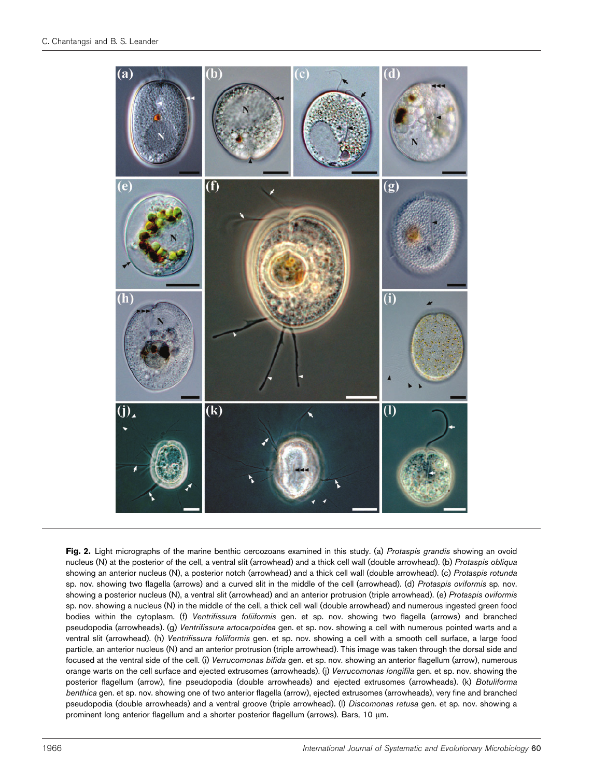

Fig. 2. Light micrographs of the marine benthic cercozoans examined in this study. (a) Protaspis grandis showing an ovoid nucleus (N) at the posterior of the cell, a ventral slit (arrowhead) and a thick cell wall (double arrowhead). (b) Protaspis obliqua showing an anterior nucleus (N), a posterior notch (arrowhead) and a thick cell wall (double arrowhead). (c) Protaspis rotunda sp. nov. showing two flagella (arrows) and a curved slit in the middle of the cell (arrowhead). (d) Protaspis oviformis sp. nov. showing a posterior nucleus (N), a ventral slit (arrowhead) and an anterior protrusion (triple arrowhead). (e) Protaspis oviformis sp. nov. showing a nucleus (N) in the middle of the cell, a thick cell wall (double arrowhead) and numerous ingested green food bodies within the cytoplasm. (f) Ventrifissura foliiformis gen. et sp. nov. showing two flagella (arrows) and branched pseudopodia (arrowheads). (g) Ventrifissura artocarpoidea gen. et sp. nov. showing a cell with numerous pointed warts and a ventral slit (arrowhead). (h) Ventrifissura foliiformis gen. et sp. nov. showing a cell with a smooth cell surface, a large food particle, an anterior nucleus (N) and an anterior protrusion (triple arrowhead). This image was taken through the dorsal side and focused at the ventral side of the cell. (i) Verrucomonas bifida gen. et sp. nov. showing an anterior flagellum (arrow), numerous orange warts on the cell surface and ejected extrusomes (arrowheads). (j) Verrucomonas longifila gen. et sp. nov. showing the posterior flagellum (arrow), fine pseudopodia (double arrowheads) and ejected extrusomes (arrowheads). (k) Botuliforma benthica gen. et sp. nov. showing one of two anterior flagella (arrow), ejected extrusomes (arrowheads), very fine and branched pseudopodia (double arrowheads) and a ventral groove (triple arrowhead). (l) Discomonas retusa gen. et sp. nov. showing a prominent long anterior flagellum and a shorter posterior flagellum (arrows). Bars, 10  $\mu$ m.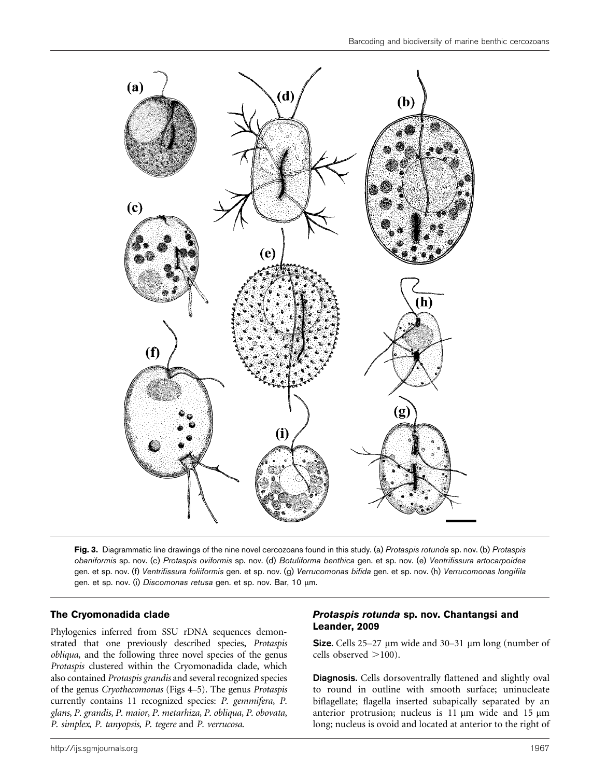

Fig. 3. Diagrammatic line drawings of the nine novel cercozoans found in this study. (a) Protaspis rotunda sp. nov. (b) Protaspis obaniformis sp. nov. (c) Protaspis oviformis sp. nov. (d) Botuliforma benthica gen. et sp. nov. (e) Ventrifissura artocarpoidea gen. et sp. nov. (f) Ventrifissura foliiformis gen. et sp. nov. (g) Verrucomonas bifida gen. et sp. nov. (h) Verrucomonas longifila gen. et sp. nov. (i) Discomonas retusa gen. et sp. nov. Bar, 10 µm.

# The Cryomonadida clade

Phylogenies inferred from SSU rDNA sequences demonstrated that one previously described species, Protaspis obliqua, and the following three novel species of the genus Protaspis clustered within the Cryomonadida clade, which also contained Protaspis grandis and several recognized species of the genus Cryothecomonas (Figs 4–5). The genus Protaspis currently contains 11 recognized species: P. gemmifera, P. glans, P. grandis, P. maior, P. metarhiza, P. obliqua, P. obovata, P. simplex, P. tanyopsis, P. tegere and P. verrucosa.

#### Protaspis rotunda sp. nov. Chantangsi and Leander, 2009

Size. Cells  $25-27$  µm wide and  $30-31$  µm long (number of cells observed  $>100$ ).

Diagnosis. Cells dorsoventrally flattened and slightly oval to round in outline with smooth surface; uninucleate biflagellate; flagella inserted subapically separated by an anterior protrusion; nucleus is  $11 \mu m$  wide and  $15 \mu m$ long; nucleus is ovoid and located at anterior to the right of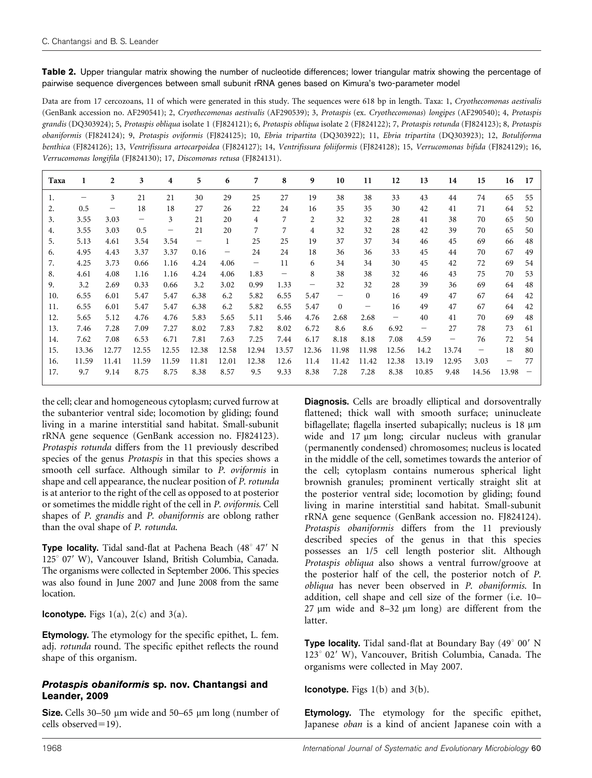Table 2. Upper triangular matrix showing the number of nucleotide differences; lower triangular matrix showing the percentage of pairwise sequence divergences between small subunit rRNA genes based on Kimura's two-parameter model

Data are from 17 cercozoans, 11 of which were generated in this study. The sequences were 618 bp in length. Taxa: 1, Cryothecomonas aestivalis (GenBank accession no. AF290541); 2, Cryothecomonas aestivalis (AF290539); 3, Protaspis (ex. Cryothecomonas) longipes (AF290540); 4, Protaspis grandis (DQ303924); 5, Protaspis obliqua isolate 1 (FJ824121); 6, Protaspis obliqua isolate 2 (FJ824122); 7, Protaspis rotunda (FJ824123); 8, Protaspis obaniformis (FJ824124); 9, Protaspis oviformis (FJ824125); 10, Ebria tripartita (DQ303922); 11, Ebria tripartita (DQ303923); 12, Botuliforma benthica (FJ824126); 13, Ventrifissura artocarpoidea (FJ824127); 14, Ventrifissura foliiformis (FJ824128); 15, Verrucomonas bifida (FJ824129); 16, Verrucomonas longifila (FJ824130); 17, Discomonas retusa (FJ824131).

| Taxa | 1     | 2                 | 3                        | 4                        | 5     | 6     | 7     | 8                        | 9                        | 10              | 11       | 12                | 13                       | 14    | 15                | 16    | 17 |
|------|-------|-------------------|--------------------------|--------------------------|-------|-------|-------|--------------------------|--------------------------|-----------------|----------|-------------------|--------------------------|-------|-------------------|-------|----|
| 1.   | -     | 3                 | 21                       | 21                       | 30    | 29    | 25    | 27                       | 19                       | 38              | 38       | 33                | 43                       | 44    | 74                | 65    | 55 |
| 2.   | 0.5   | $\qquad \qquad -$ | 18                       | 18                       | 27    | 26    | 22    | 24                       | 16                       | 35              | 35       | 30                | 42                       | 41    | 71                | 64    | 52 |
| 3.   | 3.55  | 3.03              | $\overline{\phantom{m}}$ | 3                        | 21    | 20    | 4     | 7                        | $\overline{2}$           | 32              | 32       | 28                | 41                       | 38    | 70                | 65    | 50 |
| 4.   | 3.55  | 3.03              | 0.5                      | $\overline{\phantom{m}}$ | 21    | 20    | 7     | 7                        | 4                        | 32              | 32       | 28                | 42                       | 39    | 70                | 65    | 50 |
| 5.   | 5.13  | 4.61              | 3.54                     | 3.54                     | —     |       | 25    | 25                       | 19                       | 37              | 37       | 34                | 46                       | 45    | 69                | 66    | 48 |
| 6.   | 4.95  | 4.43              | 3.37                     | 3.37                     | 0.16  | —     | 24    | 24                       | 18                       | 36              | 36       | 33                | 45                       | 44    | 70                | 67    | 49 |
| 7.   | 4.25  | 3.73              | 0.66                     | 1.16                     | 4.24  | 4.06  | -     | 11                       | 6                        | 34              | 34       | 30                | 45                       | 42    | 72                | 69    | 54 |
| 8.   | 4.61  | 4.08              | 1.16                     | 1.16                     | 4.24  | 4.06  | 1.83  | $\overline{\phantom{0}}$ | 8                        | 38              | 38       | 32                | 46                       | 43    | 75                | 70    | 53 |
| 9.   | 3.2   | 2.69              | 0.33                     | 0.66                     | 3.2   | 3.02  | 0.99  | 1.33                     | $\overline{\phantom{m}}$ | 32              | 32       | 28                | 39                       | 36    | 69                | 64    | 48 |
| 10.  | 6.55  | 6.01              | 5.47                     | 5.47                     | 6.38  | 6.2   | 5.82  | 6.55                     | 5.47                     | $\qquad \qquad$ | $\Omega$ | 16                | 49                       | 47    | 67                | 64    | 42 |
| 11.  | 6.55  | 6.01              | 5.47                     | 5.47                     | 6.38  | 6.2   | 5.82  | 6.55                     | 5.47                     | $\overline{0}$  | —        | 16                | 49                       | 47    | 67                | 64    | 42 |
| 12.  | 5.65  | 5.12              | 4.76                     | 4.76                     | 5.83  | 5.65  | 5.11  | 5.46                     | 4.76                     | 2.68            | 2.68     | $\qquad \qquad -$ | 40                       | 41    | 70                | 69    | 48 |
| 13.  | 7.46  | 7.28              | 7.09                     | 7.27                     | 8.02  | 7.83  | 7.82  | 8.02                     | 6.72                     | 8.6             | 8.6      | 6.92              | $\overline{\phantom{m}}$ | 27    | 78                | 73    | 61 |
| 14.  | 7.62  | 7.08              | 6.53                     | 6.71                     | 7.81  | 7.63  | 7.25  | 7.44                     | 6.17                     | 8.18            | 8.18     | 7.08              | 4.59                     | —     | 76                | 72    | 54 |
| 15.  | 13.36 | 12.77             | 12.55                    | 12.55                    | 12.38 | 12.58 | 12.94 | 13.57                    | 12.36                    | 11.98           | 11.98    | 12.56             | 14.2                     | 13.74 | $\qquad \qquad -$ | 18    | 80 |
| 16.  | 11.59 | 11.41             | 11.59                    | 11.59                    | 11.81 | 12.01 | 12.38 | 12.6                     | 11.4                     | 11.42           | 11.42    | 12.38             | 13.19                    | 12.95 | 3.03              | -     | 77 |
| 17.  | 9.7   | 9.14              | 8.75                     | 8.75                     | 8.38  | 8.57  | 9.5   | 9.33                     | 8.38                     | 7.28            | 7.28     | 8.38              | 10.85                    | 9.48  | 14.56             | 13.98 |    |

the cell; clear and homogeneous cytoplasm; curved furrow at the subanterior ventral side; locomotion by gliding; found living in a marine interstitial sand habitat. Small-subunit rRNA gene sequence (GenBank accession no. FJ824123). Protaspis rotunda differs from the 11 previously described species of the genus Protaspis in that this species shows a smooth cell surface. Although similar to P. oviformis in shape and cell appearance, the nuclear position of P. rotunda is at anterior to the right of the cell as opposed to at posterior or sometimes the middle right of the cell in P. oviformis. Cell shapes of P. grandis and P. obaniformis are oblong rather than the oval shape of P. rotunda.

Type locality. Tidal sand-flat at Pachena Beach (48° 47' N 125° 07' W), Vancouver Island, British Columbia, Canada. The organisms were collected in September 2006. This species was also found in June 2007 and June 2008 from the same location.

**Iconotype.** Figs  $1(a)$ ,  $2(c)$  and  $3(a)$ .

Etymology. The etymology for the specific epithet, L. fem. adj. rotunda round. The specific epithet reflects the round shape of this organism.

#### Protaspis obaniformis sp. nov. Chantangsi and Leander, 2009

Size. Cells  $30-50 \mu m$  wide and  $50-65 \mu m$  long (number of cells observed=19).

Diagnosis. Cells are broadly elliptical and dorsoventrally flattened; thick wall with smooth surface; uninucleate biflagellate; flagella inserted subapically; nucleus is 18  $\mu$ m wide and  $17 \mu m$  long; circular nucleus with granular (permanently condensed) chromosomes; nucleus is located in the middle of the cell, sometimes towards the anterior of the cell; cytoplasm contains numerous spherical light brownish granules; prominent vertically straight slit at the posterior ventral side; locomotion by gliding; found living in marine interstitial sand habitat. Small-subunit rRNA gene sequence (GenBank accession no. FJ824124). Protaspis obaniformis differs from the 11 previously described species of the genus in that this species possesses an 1/5 cell length posterior slit. Although Protaspis obliqua also shows a ventral furrow/groove at the posterior half of the cell, the posterior notch of P. obliqua has never been observed in P. obaniformis. In addition, cell shape and cell size of the former (i.e. 10–  $27 \mu m$  wide and  $8-32 \mu m$  long) are different from the latter.

**Type locality.** Tidal sand-flat at Boundary Bay  $(49°00' N$ 123° 02' W), Vancouver, British Columbia, Canada. The organisms were collected in May 2007.

**Iconotype.** Figs  $1(b)$  and  $3(b)$ .

Etymology. The etymology for the specific epithet, Japanese oban is a kind of ancient Japanese coin with a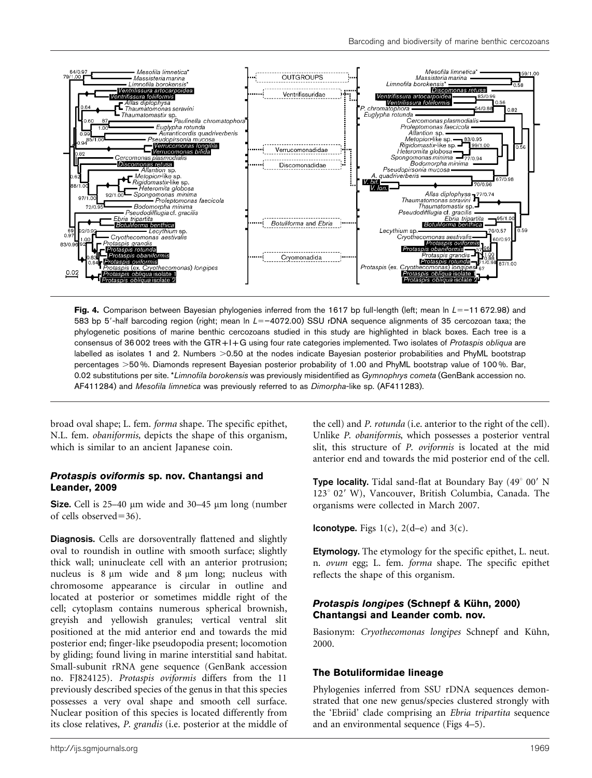

Fig. 4. Comparison between Bayesian phylogenies inferred from the 1617 bp full-length (left; mean ln  $L=-11672.98$ ) and 583 bp 5'-half barcoding region (right; mean ln  $L=-4072.00$ ) SSU rDNA sequence alignments of 35 cercozoan taxa; the phylogenetic positions of marine benthic cercozoans studied in this study are highlighted in black boxes. Each tree is a consensus of 36 002 trees with the GTR+I+G using four rate categories implemented. Two isolates of Protaspis obliqua are labelled as isolates 1 and 2. Numbers  $>0.50$  at the nodes indicate Bayesian posterior probabilities and PhyML bootstrap percentages >50%. Diamonds represent Bayesian posterior probability of 1.00 and PhyML bootstrap value of 100%. Bar, 0.02 substitutions per site. \*Limnofila borokensis was previously misidentified as Gymnophrys cometa (GenBank accession no. AF411284) and Mesofila limnetica was previously referred to as *Dimorpha*-like sp. (AF411283).

broad oval shape; L. fem. forma shape. The specific epithet, N.L. fem. obaniformis, depicts the shape of this organism, which is similar to an ancient Japanese coin.

#### Protaspis oviformis sp. nov. Chantangsi and Leander, 2009

Size. Cell is  $25-40$  µm wide and  $30-45$  µm long (number of cells observed $=36$ ).

Diagnosis. Cells are dorsoventrally flattened and slightly oval to roundish in outline with smooth surface; slightly thick wall; uninucleate cell with an anterior protrusion; nucleus is  $8 \mu m$  wide and  $8 \mu m$  long; nucleus with chromosome appearance is circular in outline and located at posterior or sometimes middle right of the cell; cytoplasm contains numerous spherical brownish, greyish and yellowish granules; vertical ventral slit positioned at the mid anterior end and towards the mid posterior end; finger-like pseudopodia present; locomotion by gliding; found living in marine interstitial sand habitat. Small-subunit rRNA gene sequence (GenBank accession no. FJ824125). Protaspis oviformis differs from the 11 previously described species of the genus in that this species possesses a very oval shape and smooth cell surface. Nuclear position of this species is located differently from its close relatives, P. grandis (i.e. posterior at the middle of the cell) and P. rotunda (i.e. anterior to the right of the cell). Unlike P. obaniformis, which possesses a posterior ventral slit, this structure of P. oviformis is located at the mid anterior end and towards the mid posterior end of the cell.

**Type locality.** Tidal sand-flat at Boundary Bay  $(49°00' \text{ N})$ 123° 02' W), Vancouver, British Columbia, Canada. The organisms were collected in March 2007.

**Iconotype.** Figs  $1(c)$ ,  $2(d-e)$  and  $3(c)$ .

Etymology. The etymology for the specific epithet, L. neut. n. ovum egg; L. fem. forma shape. The specific epithet reflects the shape of this organism.

# Protaspis longipes (Schnepf & Kühn, 2000) Chantangsi and Leander comb. nov.

Basionym: Cryothecomonas longipes Schnepf and Kühn, 2000.

# The Botuliformidae lineage

Phylogenies inferred from SSU rDNA sequences demonstrated that one new genus/species clustered strongly with the 'Ebriid' clade comprising an Ebria tripartita sequence and an environmental sequence (Figs 4–5).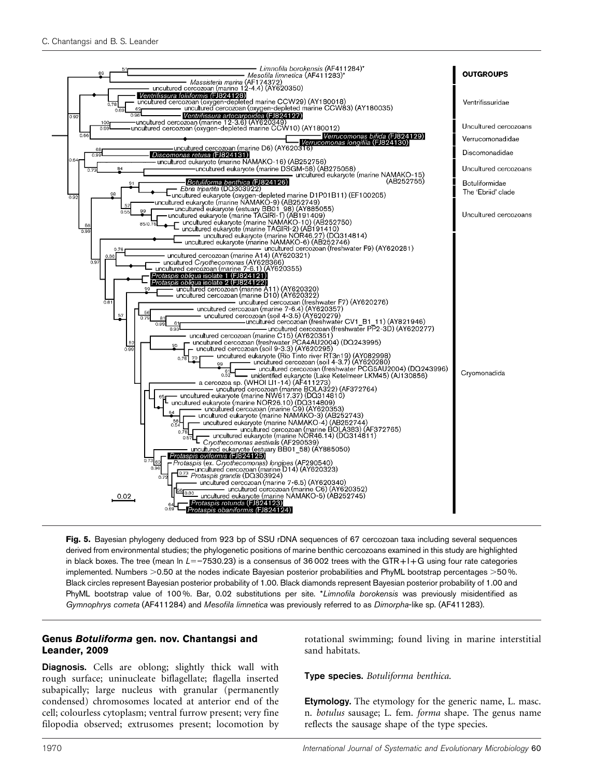

Fig. 5. Bayesian phylogeny deduced from 923 bp of SSU rDNA sequences of 67 cercozoan taxa including several sequences derived from environmental studies; the phylogenetic positions of marine benthic cercozoans examined in this study are highlighted in black boxes. The tree (mean ln  $L=-7530.23$ ) is a consensus of 36 002 trees with the GTR+I+G using four rate categories implemented. Numbers  $>$  0.50 at the nodes indicate Bayesian posterior probabilities and PhyML bootstrap percentages  $>$  50%. Black circles represent Bayesian posterior probability of 1.00. Black diamonds represent Bayesian posterior probability of 1.00 and PhyML bootstrap value of 100%. Bar, 0.02 substitutions per site. \*Limnofila borokensis was previously misidentified as Gymnophrys cometa (AF411284) and Mesofila limnetica was previously referred to as Dimorpha-like sp. (AF411283).

# Genus Botuliforma gen. nov. Chantangsi and Leander, 2009

Diagnosis. Cells are oblong; slightly thick wall with rough surface; uninucleate biflagellate; flagella inserted subapically; large nucleus with granular (permanently condensed) chromosomes located at anterior end of the cell; colourless cytoplasm; ventral furrow present; very fine filopodia observed; extrusomes present; locomotion by

rotational swimming; found living in marine interstitial sand habitats.

Type species. Botuliforma benthica.

Etymology. The etymology for the generic name, L. masc. n. botulus sausage; L. fem. forma shape. The genus name reflects the sausage shape of the type species.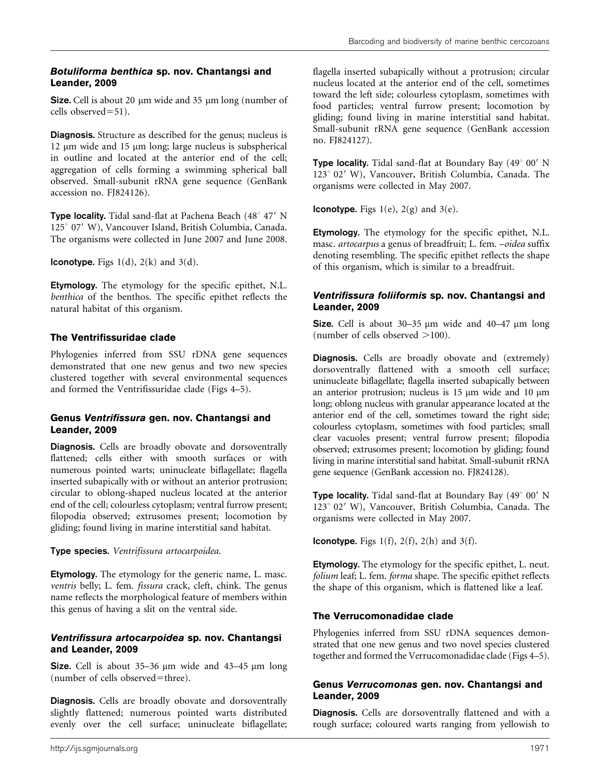#### Botuliforma benthica sp. nov. Chantangsi and Leander, 2009

Size. Cell is about 20  $\mu$ m wide and 35  $\mu$ m long (number of cells observed $=51$ ).

Diagnosis. Structure as described for the genus; nucleus is  $12 \mu m$  wide and  $15 \mu m$  long; large nucleus is subspherical in outline and located at the anterior end of the cell; aggregation of cells forming a swimming spherical ball observed. Small-subunit rRNA gene sequence (GenBank accession no. FJ824126).

Type locality. Tidal sand-flat at Pachena Beach (48° 47' N 125° 07' W), Vancouver Island, British Columbia, Canada. The organisms were collected in June 2007 and June 2008.

**Iconotype.** Figs  $1(d)$ ,  $2(k)$  and  $3(d)$ .

Etymology. The etymology for the specific epithet, N.L. benthica of the benthos. The specific epithet reflects the natural habitat of this organism.

# The Ventrifissuridae clade

Phylogenies inferred from SSU rDNA gene sequences demonstrated that one new genus and two new species clustered together with several environmental sequences and formed the Ventrifissuridae clade (Figs 4–5).

#### Genus Ventrifissura gen. nov. Chantangsi and Leander, 2009

Diagnosis. Cells are broadly obovate and dorsoventrally flattened; cells either with smooth surfaces or with numerous pointed warts; uninucleate biflagellate; flagella inserted subapically with or without an anterior protrusion; circular to oblong-shaped nucleus located at the anterior end of the cell; colourless cytoplasm; ventral furrow present; filopodia observed; extrusomes present; locomotion by gliding; found living in marine interstitial sand habitat.

Type species. Ventrifissura artocarpoidea.

Etymology. The etymology for the generic name, L. masc. ventris belly; L. fem. fissura crack, cleft, chink. The genus name reflects the morphological feature of members within this genus of having a slit on the ventral side.

# Ventrifissura artocarpoidea sp. nov. Chantangsi and Leander, 2009

Size. Cell is about  $35-36 \mu m$  wide and  $43-45 \mu m$  long  $(number of cells observed=three)$ .

Diagnosis. Cells are broadly obovate and dorsoventrally slightly flattened; numerous pointed warts distributed evenly over the cell surface; uninucleate biflagellate;

flagella inserted subapically without a protrusion; circular nucleus located at the anterior end of the cell, sometimes toward the left side; colourless cytoplasm, sometimes with food particles; ventral furrow present; locomotion by gliding; found living in marine interstitial sand habitat. Small-subunit rRNA gene sequence (GenBank accession no. FJ824127).

**Type locality.** Tidal sand-flat at Boundary Bay  $(49°00' \text{ N})$ 123° 02' W), Vancouver, British Columbia, Canada. The organisms were collected in May 2007.

**Iconotype.** Figs  $1(e)$ ,  $2(g)$  and  $3(e)$ .

Etymology. The etymology for the specific epithet, N.L. masc. artocarpus a genus of breadfruit; L. fem. -oidea suffix denoting resembling. The specific epithet reflects the shape of this organism, which is similar to a breadfruit.

# Ventrifissura foliiformis sp. nov. Chantangsi and Leander, 2009

Size. Cell is about  $30-35 \mu m$  wide and  $40-47 \mu m$  long (number of cells observed  $>100$ ).

Diagnosis. Cells are broadly obovate and (extremely) dorsoventrally flattened with a smooth cell surface; uninucleate biflagellate; flagella inserted subapically between an anterior protrusion; nucleus is  $15 \mu m$  wide and  $10 \mu m$ long; oblong nucleus with granular appearance located at the anterior end of the cell, sometimes toward the right side; colourless cytoplasm, sometimes with food particles; small clear vacuoles present; ventral furrow present; filopodia observed; extrusomes present; locomotion by gliding; found living in marine interstitial sand habitat. Small-subunit rRNA gene sequence (GenBank accession no. FJ824128).

**Type locality.** Tidal sand-flat at Boundary Bay  $(49°00' N$ 123° 02' W), Vancouver, British Columbia, Canada. The organisms were collected in May 2007.

**Iconotype.** Figs 1(f), 2(f), 2(h) and 3(f).

Etymology. The etymology for the specific epithet, L. neut. folium leaf; L. fem. forma shape. The specific epithet reflects the shape of this organism, which is flattened like a leaf.

# The Verrucomonadidae clade

Phylogenies inferred from SSU rDNA sequences demonstrated that one new genus and two novel species clustered together and formed the Verrucomonadidae clade (Figs 4–5).

# Genus Verrucomonas gen. nov. Chantangsi and Leander, 2009

Diagnosis. Cells are dorsoventrally flattened and with a rough surface; coloured warts ranging from yellowish to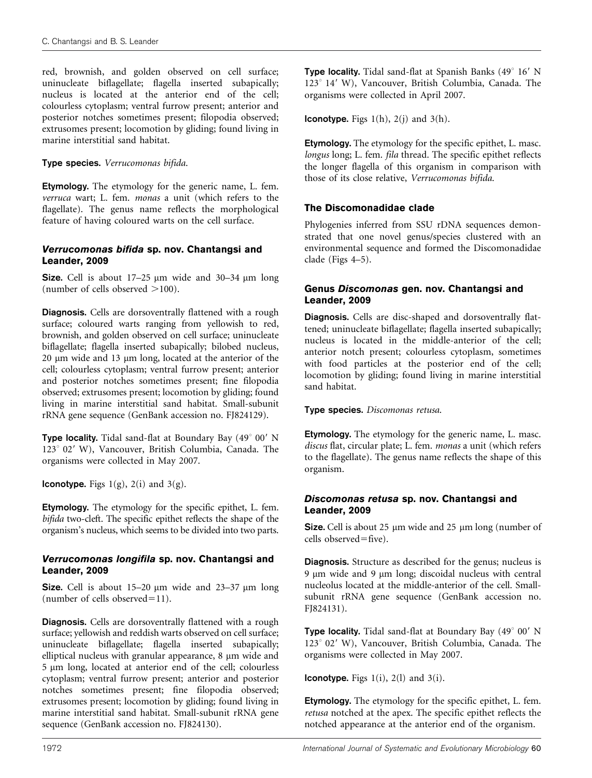red, brownish, and golden observed on cell surface; uninucleate biflagellate; flagella inserted subapically; nucleus is located at the anterior end of the cell; colourless cytoplasm; ventral furrow present; anterior and posterior notches sometimes present; filopodia observed; extrusomes present; locomotion by gliding; found living in marine interstitial sand habitat.

#### Type species. Verrucomonas bifida.

Etymology. The etymology for the generic name, L. fem. verruca wart; L. fem. monas a unit (which refers to the flagellate). The genus name reflects the morphological feature of having coloured warts on the cell surface.

#### Verrucomonas bifida sp. nov. Chantangsi and Leander, 2009

Size. Cell is about  $17-25 \mu m$  wide and  $30-34 \mu m$  long (number of cells observed  $>100$ ).

Diagnosis. Cells are dorsoventrally flattened with a rough surface; coloured warts ranging from yellowish to red, brownish, and golden observed on cell surface; uninucleate biflagellate; flagella inserted subapically; bilobed nucleus,  $20 \mu m$  wide and 13  $\mu m$  long, located at the anterior of the cell; colourless cytoplasm; ventral furrow present; anterior and posterior notches sometimes present; fine filopodia observed; extrusomes present; locomotion by gliding; found living in marine interstitial sand habitat. Small-subunit rRNA gene sequence (GenBank accession no. FJ824129).

**Type locality.** Tidal sand-flat at Boundary Bay  $(49°00' N$ 123° 02' W), Vancouver, British Columbia, Canada. The organisms were collected in May 2007.

**Iconotype.** Figs  $1(g)$ ,  $2(i)$  and  $3(g)$ .

Etymology. The etymology for the specific epithet, L. fem. bifida two-cleft. The specific epithet reflects the shape of the organism's nucleus, which seems to be divided into two parts.

#### Verrucomonas longifila sp. nov. Chantangsi and Leander, 2009

Size. Cell is about  $15-20 \mu m$  wide and  $23-37 \mu m$  long (number of cells observed $=11$ ).

Diagnosis. Cells are dorsoventrally flattened with a rough surface; yellowish and reddish warts observed on cell surface; uninucleate biflagellate; flagella inserted subapically; elliptical nucleus with granular appearance,  $8 \mu m$  wide and 5 µm long, located at anterior end of the cell; colourless cytoplasm; ventral furrow present; anterior and posterior notches sometimes present; fine filopodia observed; extrusomes present; locomotion by gliding; found living in marine interstitial sand habitat. Small-subunit rRNA gene sequence (GenBank accession no. FJ824130).

**Type locality.** Tidal sand-flat at Spanish Banks  $(49°16' N$ 123° 14' W), Vancouver, British Columbia, Canada. The organisms were collected in April 2007.

**Iconotype.** Figs  $1(h)$ ,  $2(i)$  and  $3(h)$ .

Etymology. The etymology for the specific epithet, L. masc. longus long; L. fem. *fila* thread. The specific epithet reflects the longer flagella of this organism in comparison with those of its close relative, Verrucomonas bifida.

# The Discomonadidae clade

Phylogenies inferred from SSU rDNA sequences demonstrated that one novel genus/species clustered with an environmental sequence and formed the Discomonadidae clade (Figs 4–5).

#### Genus Discomonas gen. nov. Chantangsi and Leander, 2009

Diagnosis. Cells are disc-shaped and dorsoventrally flattened; uninucleate biflagellate; flagella inserted subapically; nucleus is located in the middle-anterior of the cell; anterior notch present; colourless cytoplasm, sometimes with food particles at the posterior end of the cell; locomotion by gliding; found living in marine interstitial sand habitat.

#### Type species. Discomonas retusa.

Etymology. The etymology for the generic name, L. masc. discus flat, circular plate; L. fem. *monas* a unit (which refers to the flagellate). The genus name reflects the shape of this organism.

#### Discomonas retusa sp. nov. Chantangsi and Leander, 2009

Size. Cell is about 25  $\mu$ m wide and 25  $\mu$ m long (number of  $cells observed=five$ ).

Diagnosis. Structure as described for the genus; nucleus is 9 um wide and 9 um long; discoidal nucleus with central nucleolus located at the middle-anterior of the cell. Smallsubunit rRNA gene sequence (GenBank accession no. FJ824131).

**Type locality.** Tidal sand-flat at Boundary Bay  $(49°00' N$  $123^\circ$  02' W), Vancouver, British Columbia, Canada. The organisms were collected in May 2007.

**Iconotype.** Figs  $1(i)$ ,  $2(l)$  and  $3(i)$ .

Etymology. The etymology for the specific epithet, L. fem. retusa notched at the apex. The specific epithet reflects the notched appearance at the anterior end of the organism.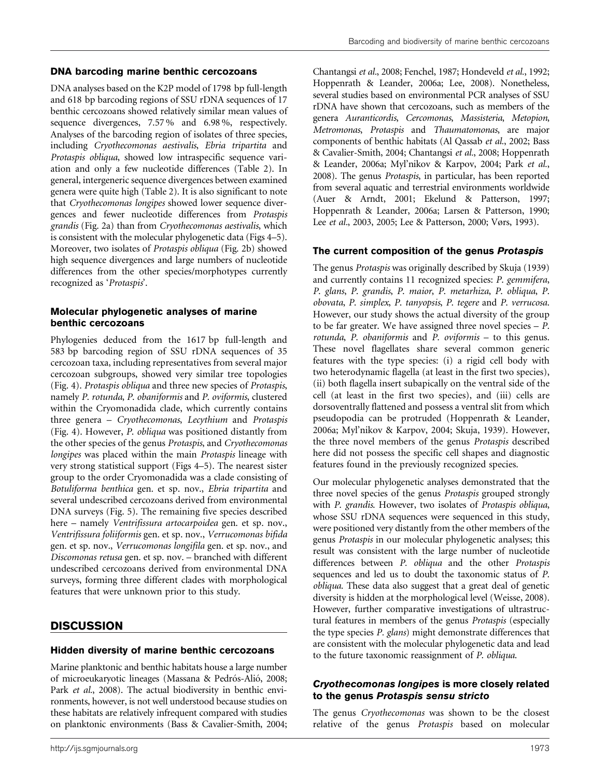#### DNA barcoding marine benthic cercozoans

DNA analyses based on the K2P model of 1798 bp full-length and 618 bp barcoding regions of SSU rDNA sequences of 17 benthic cercozoans showed relatively similar mean values of sequence divergences, 7.57 % and 6.98 %, respectively. Analyses of the barcoding region of isolates of three species, including Cryothecomonas aestivalis, Ebria tripartita and Protaspis obliqua, showed low intraspecific sequence variation and only a few nucleotide differences (Table 2). In general, intergeneric sequence divergences between examined genera were quite high (Table 2). It is also significant to note that Cryothecomonas longipes showed lower sequence divergences and fewer nucleotide differences from Protaspis grandis (Fig. 2a) than from Cryothecomonas aestivalis, which is consistent with the molecular phylogenetic data (Figs 4–5). Moreover, two isolates of Protaspis obliqua (Fig. 2b) showed high sequence divergences and large numbers of nucleotide differences from the other species/morphotypes currently recognized as 'Protaspis'.

#### Molecular phylogenetic analyses of marine benthic cercozoans

Phylogenies deduced from the 1617 bp full-length and 583 bp barcoding region of SSU rDNA sequences of 35 cercozoan taxa, including representatives from several major cercozoan subgroups, showed very similar tree topologies (Fig. 4). Protaspis obliqua and three new species of Protaspis, namely P. rotunda, P. obaniformis and P. oviformis, clustered within the Cryomonadida clade, which currently contains three genera – Cryothecomonas, Lecythium and Protaspis (Fig. 4). However, P. obliqua was positioned distantly from the other species of the genus Protaspis, and Cryothecomonas longipes was placed within the main Protaspis lineage with very strong statistical support (Figs 4–5). The nearest sister group to the order Cryomonadida was a clade consisting of Botuliforma benthica gen. et sp. nov., Ebria tripartita and several undescribed cercozoans derived from environmental DNA surveys (Fig. 5). The remaining five species described here – namely Ventrifissura artocarpoidea gen. et sp. nov., Ventrifissura foliiformis gen. et sp. nov., Verrucomonas bifida gen. et sp. nov., Verrucomonas longifila gen. et sp. nov., and Discomonas retusa gen. et sp. nov. – branched with different undescribed cercozoans derived from environmental DNA surveys, forming three different clades with morphological features that were unknown prior to this study.

# **DISCUSSION**

# Hidden diversity of marine benthic cercozoans

Marine planktonic and benthic habitats house a large number of microeukaryotic lineages (Massana & Pedrós-Alió, 2008; Park et al., 2008). The actual biodiversity in benthic environments, however, is not well understood because studies on these habitats are relatively infrequent compared with studies on planktonic environments (Bass & Cavalier-Smith, 2004; Chantangsi et al., 2008; Fenchel, 1987; Hondeveld et al., 1992; Hoppenrath & Leander, 2006a; Lee, 2008). Nonetheless, several studies based on environmental PCR analyses of SSU rDNA have shown that cercozoans, such as members of the genera Auranticordis, Cercomonas, Massisteria, Metopion, Metromonas, Protaspis and Thaumatomonas, are major components of benthic habitats (Al Qassab et al., 2002; Bass & Cavalier-Smith, 2004; Chantangsi et al., 2008; Hoppenrath & Leander, 2006a; Myl'nikov & Karpov, 2004; Park et al., 2008). The genus Protaspis, in particular, has been reported from several aquatic and terrestrial environments worldwide (Auer & Arndt, 2001; Ekelund & Patterson, 1997; Hoppenrath & Leander, 2006a; Larsen & Patterson, 1990; Lee et al., 2003, 2005; Lee & Patterson, 2000; Vørs, 1993).

# The current composition of the genus Protaspis

The genus Protaspis was originally described by Skuja (1939) and currently contains 11 recognized species: P. gemmifera, P. glans, P. grandis, P. maior, P. metarhiza, P. obliqua, P. obovata, P. simplex, P. tanyopsis, P. tegere and P. verrucosa. However, our study shows the actual diversity of the group to be far greater. We have assigned three novel species  $- P$ . rotunda, P. obaniformis and P. oviformis – to this genus. These novel flagellates share several common generic features with the type species: (i) a rigid cell body with two heterodynamic flagella (at least in the first two species), (ii) both flagella insert subapically on the ventral side of the cell (at least in the first two species), and (iii) cells are dorsoventrally flattened and possess a ventral slit from which pseudopodia can be protruded (Hoppenrath & Leander, 2006a; Myl'nikov & Karpov, 2004; Skuja, 1939). However, the three novel members of the genus Protaspis described here did not possess the specific cell shapes and diagnostic features found in the previously recognized species.

Our molecular phylogenetic analyses demonstrated that the three novel species of the genus Protaspis grouped strongly with P. grandis. However, two isolates of Protaspis obliqua, whose SSU rDNA sequences were sequenced in this study, were positioned very distantly from the other members of the genus Protaspis in our molecular phylogenetic analyses; this result was consistent with the large number of nucleotide differences between P. obliqua and the other Protaspis sequences and led us to doubt the taxonomic status of P. obliqua. These data also suggest that a great deal of genetic diversity is hidden at the morphological level (Weisse, 2008). However, further comparative investigations of ultrastructural features in members of the genus Protaspis (especially the type species P. glans) might demonstrate differences that are consistent with the molecular phylogenetic data and lead to the future taxonomic reassignment of P. obliqua.

#### Cryothecomonas longipes is more closely related to the genus Protaspis sensu stricto

The genus Cryothecomonas was shown to be the closest relative of the genus Protaspis based on molecular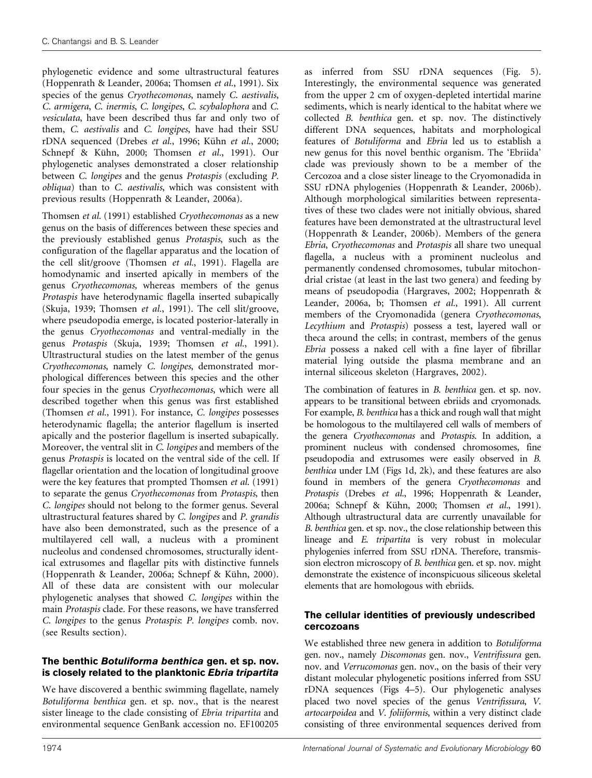phylogenetic evidence and some ultrastructural features (Hoppenrath & Leander, 2006a; Thomsen et al., 1991). Six species of the genus *Cryothecomonas*, namely *C. aestivalis*, C. armigera, C. inermis, C. longipes, C. scybalophora and C. vesiculata, have been described thus far and only two of them, C. aestivalis and C. longipes, have had their SSU rDNA sequenced (Drebes et al., 1996; Kühn et al., 2000; Schnepf & Kühn, 2000; Thomsen et al., 1991). Our phylogenetic analyses demonstrated a closer relationship between C. longipes and the genus Protaspis (excluding P. obliqua) than to C. aestivalis, which was consistent with previous results (Hoppenrath & Leander, 2006a).

Thomsen et al. (1991) established Cryothecomonas as a new genus on the basis of differences between these species and the previously established genus Protaspis, such as the configuration of the flagellar apparatus and the location of the cell slit/groove (Thomsen et al., 1991). Flagella are homodynamic and inserted apically in members of the genus Cryothecomonas, whereas members of the genus Protaspis have heterodynamic flagella inserted subapically (Skuja, 1939; Thomsen et al., 1991). The cell slit/groove, where pseudopodia emerge, is located posterior-laterally in the genus Cryothecomonas and ventral-medially in the genus Protaspis (Skuja, 1939; Thomsen et al., 1991). Ultrastructural studies on the latest member of the genus Cryothecomonas, namely C. longipes, demonstrated morphological differences between this species and the other four species in the genus Cryothecomonas, which were all described together when this genus was first established (Thomsen et al., 1991). For instance, C. longipes possesses heterodynamic flagella; the anterior flagellum is inserted apically and the posterior flagellum is inserted subapically. Moreover, the ventral slit in C. longipes and members of the genus Protaspis is located on the ventral side of the cell. If flagellar orientation and the location of longitudinal groove were the key features that prompted Thomsen et al. (1991) to separate the genus Cryothecomonas from Protaspis, then C. longipes should not belong to the former genus. Several ultrastructural features shared by C. longipes and P. grandis have also been demonstrated, such as the presence of a multilayered cell wall, a nucleus with a prominent nucleolus and condensed chromosomes, structurally identical extrusomes and flagellar pits with distinctive funnels (Hoppenrath & Leander, 2006a; Schnepf & Kühn, 2000). All of these data are consistent with our molecular phylogenetic analyses that showed C. longipes within the main Protaspis clade. For these reasons, we have transferred C. longipes to the genus Protaspis: P. longipes comb. nov. (see Results section).

#### The benthic Botuliforma benthica gen. et sp. nov. is closely related to the planktonic Ebria tripartita

We have discovered a benthic swimming flagellate, namely Botuliforma benthica gen. et sp. nov., that is the nearest sister lineage to the clade consisting of Ebria tripartita and environmental sequence GenBank accession no. EF100205

as inferred from SSU rDNA sequences (Fig. 5). Interestingly, the environmental sequence was generated from the upper 2 cm of oxygen-depleted intertidal marine sediments, which is nearly identical to the habitat where we collected B. benthica gen. et sp. nov. The distinctively different DNA sequences, habitats and morphological features of Botuliforma and Ebria led us to establish a new genus for this novel benthic organism. The 'Ebriida' clade was previously shown to be a member of the Cercozoa and a close sister lineage to the Cryomonadida in SSU rDNA phylogenies (Hoppenrath & Leander, 2006b). Although morphological similarities between representatives of these two clades were not initially obvious, shared features have been demonstrated at the ultrastructural level (Hoppenrath & Leander, 2006b). Members of the genera Ebria, Cryothecomonas and Protaspis all share two unequal flagella, a nucleus with a prominent nucleolus and permanently condensed chromosomes, tubular mitochondrial cristae (at least in the last two genera) and feeding by means of pseudopodia (Hargraves, 2002; Hoppenrath & Leander, 2006a, b; Thomsen et al., 1991). All current members of the Cryomonadida (genera Cryothecomonas, Lecythium and Protaspis) possess a test, layered wall or theca around the cells; in contrast, members of the genus Ebria possess a naked cell with a fine layer of fibrillar material lying outside the plasma membrane and an internal siliceous skeleton (Hargraves, 2002).

The combination of features in B. benthica gen. et sp. nov. appears to be transitional between ebriids and cryomonads. For example, B. benthica has a thick and rough wall that might be homologous to the multilayered cell walls of members of the genera Cryothecomonas and Protaspis. In addition, a prominent nucleus with condensed chromosomes, fine pseudopodia and extrusomes were easily observed in B. benthica under LM (Figs 1d, 2k), and these features are also found in members of the genera Cryothecomonas and Protaspis (Drebes et al., 1996; Hoppenrath & Leander, 2006a; Schnepf & Kühn, 2000; Thomsen et al., 1991). Although ultrastructural data are currently unavailable for B. benthica gen. et sp. nov., the close relationship between this lineage and E. tripartita is very robust in molecular phylogenies inferred from SSU rDNA. Therefore, transmission electron microscopy of B. benthica gen. et sp. nov. might demonstrate the existence of inconspicuous siliceous skeletal elements that are homologous with ebriids.

#### The cellular identities of previously undescribed cercozoans

We established three new genera in addition to Botuliforma gen. nov., namely Discomonas gen. nov., Ventrifissura gen. nov. and Verrucomonas gen. nov., on the basis of their very distant molecular phylogenetic positions inferred from SSU rDNA sequences (Figs 4–5). Our phylogenetic analyses placed two novel species of the genus Ventrifissura, V. artocarpoidea and V. foliiformis, within a very distinct clade consisting of three environmental sequences derived from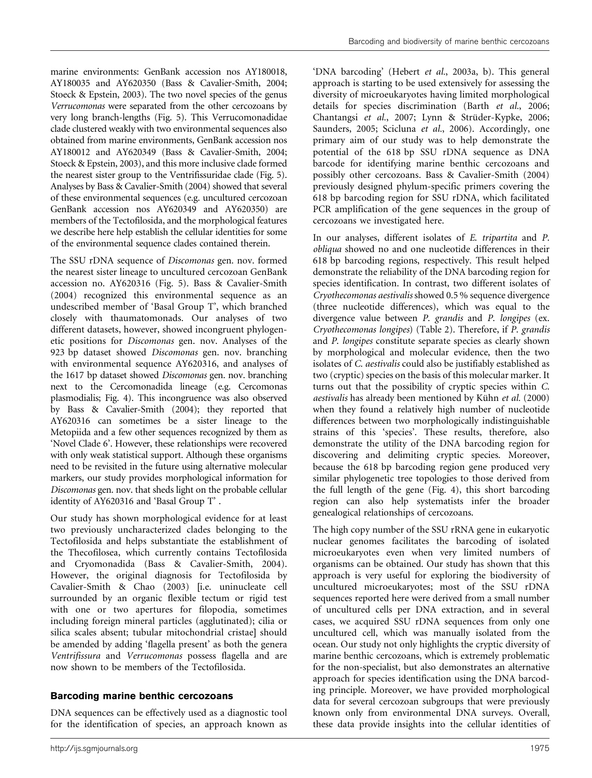marine environments: GenBank accession nos AY180018, AY180035 and AY620350 (Bass & Cavalier-Smith, 2004; Stoeck & Epstein, 2003). The two novel species of the genus Verrucomonas were separated from the other cercozoans by very long branch-lengths (Fig. 5). This Verrucomonadidae clade clustered weakly with two environmental sequences also obtained from marine environments, GenBank accession nos AY180012 and AY620349 (Bass & Cavalier-Smith, 2004; Stoeck & Epstein, 2003), and this more inclusive clade formed the nearest sister group to the Ventrifissuridae clade (Fig. 5). Analyses by Bass & Cavalier-Smith (2004) showed that several of these environmental sequences (e.g. uncultured cercozoan GenBank accession nos AY620349 and AY620350) are members of the Tectofilosida, and the morphological features we describe here help establish the cellular identities for some of the environmental sequence clades contained therein.

The SSU rDNA sequence of Discomonas gen. nov. formed the nearest sister lineage to uncultured cercozoan GenBank accession no. AY620316 (Fig. 5). Bass & Cavalier-Smith (2004) recognized this environmental sequence as an undescribed member of 'Basal Group T', which branched closely with thaumatomonads. Our analyses of two different datasets, however, showed incongruent phylogenetic positions for Discomonas gen. nov. Analyses of the 923 bp dataset showed Discomonas gen. nov. branching with environmental sequence AY620316, and analyses of the 1617 bp dataset showed Discomonas gen. nov. branching next to the Cercomonadida lineage (e.g. Cercomonas plasmodialis; Fig. 4). This incongruence was also observed by Bass & Cavalier-Smith (2004); they reported that AY620316 can sometimes be a sister lineage to the Metopiida and a few other sequences recognized by them as 'Novel Clade 6'. However, these relationships were recovered with only weak statistical support. Although these organisms need to be revisited in the future using alternative molecular markers, our study provides morphological information for Discomonas gen. nov. that sheds light on the probable cellular identity of AY620316 and 'Basal Group T' .

Our study has shown morphological evidence for at least two previously uncharacterized clades belonging to the Tectofilosida and helps substantiate the establishment of the Thecofilosea, which currently contains Tectofilosida and Cryomonadida (Bass & Cavalier-Smith, 2004). However, the original diagnosis for Tectofilosida by Cavalier-Smith & Chao (2003) [i.e. uninucleate cell surrounded by an organic flexible tectum or rigid test with one or two apertures for filopodia, sometimes including foreign mineral particles (agglutinated); cilia or silica scales absent; tubular mitochondrial cristae] should be amended by adding 'flagella present' as both the genera Ventrifissura and Verrucomonas possess flagella and are now shown to be members of the Tectofilosida.

# Barcoding marine benthic cercozoans

DNA sequences can be effectively used as a diagnostic tool for the identification of species, an approach known as 'DNA barcoding' (Hebert et al., 2003a, b). This general approach is starting to be used extensively for assessing the diversity of microeukaryotes having limited morphological details for species discrimination (Barth et al., 2006; Chantangsi et al., 2007; Lynn & Strüder-Kypke, 2006; Saunders, 2005; Scicluna et al., 2006). Accordingly, one primary aim of our study was to help demonstrate the potential of the 618 bp SSU rDNA sequence as DNA barcode for identifying marine benthic cercozoans and possibly other cercozoans. Bass & Cavalier-Smith (2004) previously designed phylum-specific primers covering the 618 bp barcoding region for SSU rDNA, which facilitated PCR amplification of the gene sequences in the group of cercozoans we investigated here.

In our analyses, different isolates of E. tripartita and P. obliqua showed no and one nucleotide differences in their 618 bp barcoding regions, respectively. This result helped demonstrate the reliability of the DNA barcoding region for species identification. In contrast, two different isolates of Cryothecomonas aestivalis showed 0.5 % sequence divergence (three nucleotide differences), which was equal to the divergence value between P. grandis and P. longipes (ex. Cryothecomonas longipes) (Table 2). Therefore, if P. grandis and P. longipes constitute separate species as clearly shown by morphological and molecular evidence, then the two isolates of C. aestivalis could also be justifiably established as two (cryptic) species on the basis of this molecular marker. It turns out that the possibility of cryptic species within C. aestivalis has already been mentioned by Kühn et al. (2000) when they found a relatively high number of nucleotide differences between two morphologically indistinguishable strains of this 'species'. These results, therefore, also demonstrate the utility of the DNA barcoding region for discovering and delimiting cryptic species. Moreover, because the 618 bp barcoding region gene produced very similar phylogenetic tree topologies to those derived from the full length of the gene (Fig. 4), this short barcoding region can also help systematists infer the broader genealogical relationships of cercozoans.

The high copy number of the SSU rRNA gene in eukaryotic nuclear genomes facilitates the barcoding of isolated microeukaryotes even when very limited numbers of organisms can be obtained. Our study has shown that this approach is very useful for exploring the biodiversity of uncultured microeukaryotes; most of the SSU rDNA sequences reported here were derived from a small number of uncultured cells per DNA extraction, and in several cases, we acquired SSU rDNA sequences from only one uncultured cell, which was manually isolated from the ocean. Our study not only highlights the cryptic diversity of marine benthic cercozoans, which is extremely problematic for the non-specialist, but also demonstrates an alternative approach for species identification using the DNA barcoding principle. Moreover, we have provided morphological data for several cercozoan subgroups that were previously known only from environmental DNA surveys. Overall, these data provide insights into the cellular identities of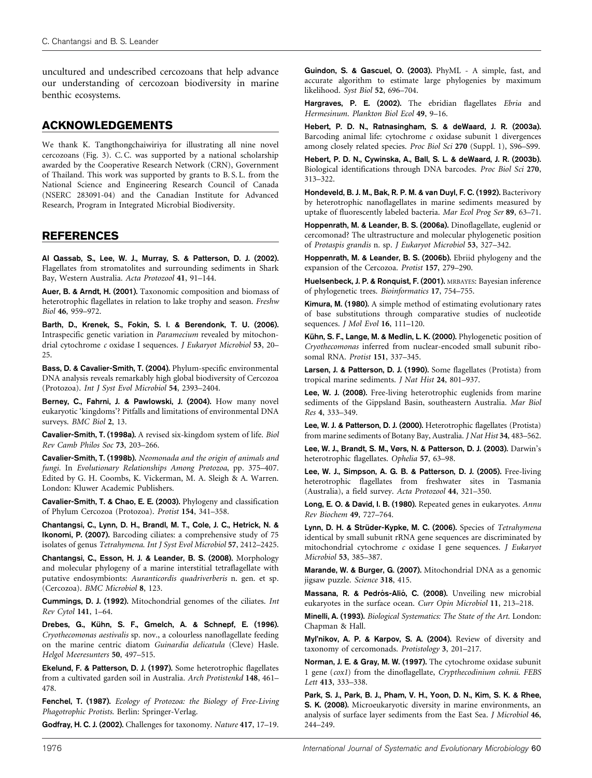uncultured and undescribed cercozoans that help advance our understanding of cercozoan biodiversity in marine benthic ecosystems.

# ACKNOWLEDGEMENTS

We thank K. Tangthongchaiwiriya for illustrating all nine novel cercozoans (Fig. 3). C. C. was supported by a national scholarship awarded by the Cooperative Research Network (CRN), Government of Thailand. This work was supported by grants to B. S. L. from the National Science and Engineering Research Council of Canada (NSERC 283091-04) and the Canadian Institute for Advanced Research, Program in Integrated Microbial Biodiversity.

# REFERENCES

Al Qassab, S., Lee, W. J., Murray, S. & Patterson, D. J. (2002). Flagellates from stromatolites and surrounding sediments in Shark Bay, Western Australia. Acta Protozool 41, 91–144.

Auer, B. & Arndt, H. (2001). Taxonomic composition and biomass of heterotrophic flagellates in relation to lake trophy and season. Freshw Biol 46, 959–972.

Barth, D., Krenek, S., Fokin, S. I. & Berendonk, T. U. (2006). Intraspecific genetic variation in Paramecium revealed by mitochondrial cytochrome c oxidase I sequences. J Eukaryot Microbiol 53, 20– 25.

Bass, D. & Cavalier-Smith, T. (2004). Phylum-specific environmental DNA analysis reveals remarkably high global biodiversity of Cercozoa (Protozoa). Int J Syst Evol Microbiol 54, 2393–2404.

Berney, C., Fahrni, J. & Pawlowski, J. (2004). How many novel eukaryotic 'kingdoms'? Pitfalls and limitations of environmental DNA surveys. BMC Biol 2, 13.

Cavalier-Smith, T. (1998a). A revised six-kingdom system of life. Biol Rev Camb Philos Soc 73, 203–266.

Cavalier-Smith, T. (1998b). Neomonada and the origin of animals and fungi. In Evolutionary Relationships Among Protozoa, pp. 375–407. Edited by G. H. Coombs, K. Vickerman, M. A. Sleigh & A. Warren. London: Kluwer Academic Publishers.

Cavalier-Smith, T. & Chao, E. E. (2003). Phylogeny and classification of Phylum Cercozoa (Protozoa). Protist 154, 341–358.

Chantangsi, C., Lynn, D. H., Brandl, M. T., Cole, J. C., Hetrick, N. & Ikonomi, P. (2007). Barcoding ciliates: a comprehensive study of 75 isolates of genus Tetrahymena. Int J Syst Evol Microbiol 57, 2412–2425.

Chantangsi, C., Esson, H. J. & Leander, B. S. (2008). Morphology and molecular phylogeny of a marine interstitial tetraflagellate with putative endosymbionts: Auranticordis quadriverberis n. gen. et sp. (Cercozoa). BMC Microbiol 8, 123.

Cummings, D. J. (1992). Mitochondrial genomes of the ciliates. Int Rev Cytol 141, 1–64.

Drebes, G., Kühn, S. F., Gmelch, A. & Schnepf, E. (1996). Cryothecomonas aestivalis sp. nov., a colourless nanoflagellate feeding on the marine centric diatom Guinardia delicatula (Cleve) Hasle. Helgol Meeresunters 50, 497–515.

Ekelund, F. & Patterson, D. J. (1997). Some heterotrophic flagellates from a cultivated garden soil in Australia. Arch Protistenkd 148, 461– 478.

Fenchel, T. (1987). Ecology of Protozoa: the Biology of Free-Living Phagotrophic Protists. Berlin: Springer-Verlag.

Godfray, H. C. J. (2002). Challenges for taxonomy. Nature 417, 17–19.

Guindon, S. & Gascuel, O. (2003). PhyML - A simple, fast, and accurate algorithm to estimate large phylogenies by maximum likelihood. Syst Biol 52, 696–704.

Hargraves, P. E. (2002). The ebridian flagellates Ebria and Hermesinum. Plankton Biol Ecol 49, 9–16.

Hebert, P. D. N., Ratnasingham, S. & deWaard, J. R. (2003a). Barcoding animal life: cytochrome c oxidase subunit 1 divergences among closely related species. Proc Biol Sci 270 (Suppl. 1), S96–S99.

Hebert, P. D. N., Cywinska, A., Ball, S. L. & deWaard, J. R. (2003b). Biological identifications through DNA barcodes. Proc Biol Sci 270, 313–322.

Hondeveld, B. J. M., Bak, R. P. M. & van Duyl, F. C. (1992). Bacterivory by heterotrophic nanoflagellates in marine sediments measured by uptake of fluorescently labeled bacteria. Mar Ecol Prog Ser 89, 63–71.

Hoppenrath, M. & Leander, B. S. (2006a). Dinoflagellate, euglenid or cercomonad? The ultrastructure and molecular phylogenetic position of Protaspis grandis n. sp. J Eukaryot Microbiol 53, 327–342.

Hoppenrath, M. & Leander, B. S. (2006b). Ebriid phylogeny and the expansion of the Cercozoa. Protist 157, 279–290.

Huelsenbeck, J. P. & Ronquist, F. (2001). MRBAYES: Bayesian inference of phylogenetic trees. Bioinformatics 17, 754–755.

Kimura, M. (1980). A simple method of estimating evolutionary rates of base substitutions through comparative studies of nucleotide sequences. *J Mol Evol* 16, 111-120.

Kühn, S. F., Lange, M. & Medlin, L. K. (2000). Phylogenetic position of Cryothecomonas inferred from nuclear-encoded small subunit ribosomal RNA. Protist 151, 337–345.

Larsen, J. & Patterson, D. J. (1990). Some flagellates (Protista) from tropical marine sediments. J Nat Hist 24, 801–937.

Lee, W. J. (2008). Free-living heterotrophic euglenids from marine sediments of the Gippsland Basin, southeastern Australia. Mar Biol Res 4, 333–349.

Lee, W. J. & Patterson, D. J. (2000). Heterotrophic flagellates (Protista) from marine sediments of Botany Bay, Australia. J Nat Hist 34, 483–562.

Lee, W. J., Brandt, S. M., Vørs, N. & Patterson, D. J. (2003). Darwin's heterotrophic flagellates. Ophelia 57, 63–98.

Lee, W. J., Simpson, A. G. B. & Patterson, D. J. (2005). Free-living heterotrophic flagellates from freshwater sites in Tasmania (Australia), a field survey. Acta Protozool 44, 321–350.

Long, E. O. & David, I. B. (1980). Repeated genes in eukaryotes. Annu Rev Biochem 49, 727–764.

Lynn, D. H. & Strüder-Kypke, M. C. (2006). Species of Tetrahymena identical by small subunit rRNA gene sequences are discriminated by mitochondrial cytochrome c oxidase I gene sequences. J Eukaryot Microbiol 53, 385–387.

Marande, W. & Burger, G. (2007). Mitochondrial DNA as a genomic jigsaw puzzle. Science 318, 415.

Massana, R. & Pedrós-Alió, C. (2008). Unveiling new microbial eukaryotes in the surface ocean. Curr Opin Microbiol 11, 213–218.

Minelli, A. (1993). Biological Systematics: The State of the Art. London: Chapman & Hall.

Myl'nikov, A. P. & Karpov, S. A. (2004). Review of diversity and taxonomy of cercomonads. Protistology 3, 201–217.

Norman, J. E. & Gray, M. W. (1997). The cytochrome oxidase subunit 1 gene (cox1) from the dinoflagellate, Crypthecodinium cohnii. FEBS Lett 413, 333–338.

Park, S. J., Park, B. J., Pham, V. H., Yoon, D. N., Kim, S. K. & Rhee, S. K. (2008). Microeukaryotic diversity in marine environments, an analysis of surface layer sediments from the East Sea. J Microbiol 46, 244–249.